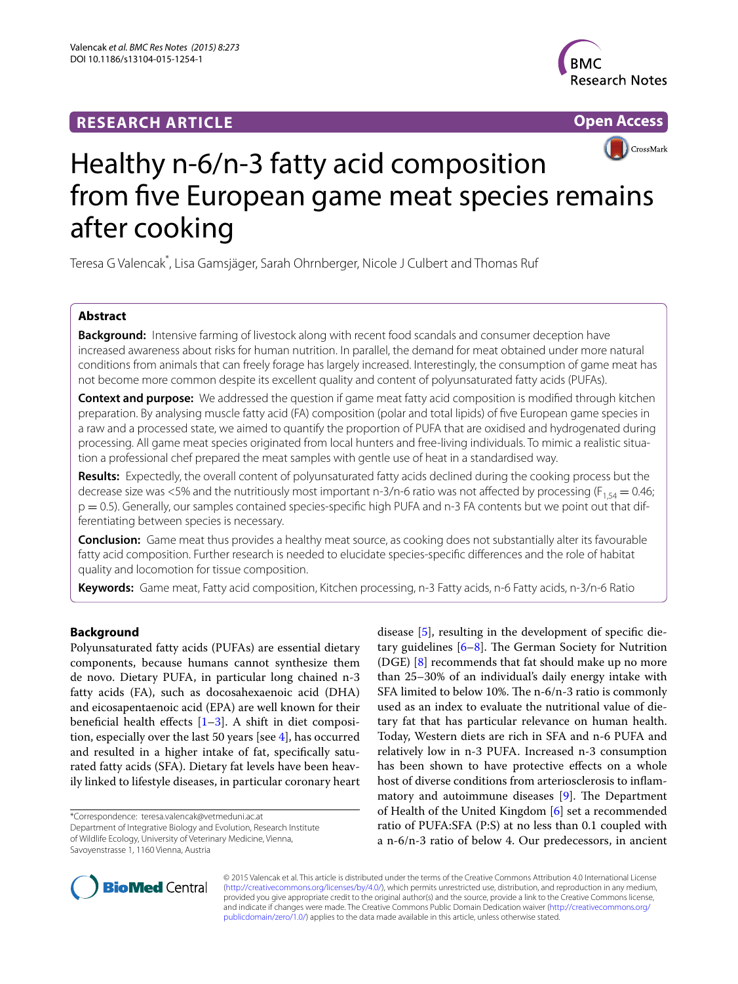## **RESEARCH ARTICLE**



**Open Access**



# Healthy n-6/n-3 fatty acid composition from five European game meat species remains after cooking

Teresa G Valencak\* , Lisa Gamsjäger, Sarah Ohrnberger, Nicole J Culbert and Thomas Ruf

## **Abstract**

**Background:** Intensive farming of livestock along with recent food scandals and consumer deception have increased awareness about risks for human nutrition. In parallel, the demand for meat obtained under more natural conditions from animals that can freely forage has largely increased. Interestingly, the consumption of game meat has not become more common despite its excellent quality and content of polyunsaturated fatty acids (PUFAs).

**Context and purpose:** We addressed the question if game meat fatty acid composition is modified through kitchen preparation. By analysing muscle fatty acid (FA) composition (polar and total lipids) of five European game species in a raw and a processed state, we aimed to quantify the proportion of PUFA that are oxidised and hydrogenated during processing. All game meat species originated from local hunters and free-living individuals. To mimic a realistic situation a professional chef prepared the meat samples with gentle use of heat in a standardised way.

**Results:** Expectedly, the overall content of polyunsaturated fatty acids declined during the cooking process but the decrease size was <5% and the nutritiously most important n-3/n-6 ratio was not affected by processing ( $F_{1,54} = 0.46$ ; p = 0.5). Generally, our samples contained species-specific high PUFA and n-3 FA contents but we point out that differentiating between species is necessary.

**Conclusion:** Game meat thus provides a healthy meat source, as cooking does not substantially alter its favourable fatty acid composition. Further research is needed to elucidate species-specific differences and the role of habitat quality and locomotion for tissue composition.

**Keywords:** Game meat, Fatty acid composition, Kitchen processing, n-3 Fatty acids, n-6 Fatty acids, n-3/n-6 Ratio

## **Background**

Polyunsaturated fatty acids (PUFAs) are essential dietary components, because humans cannot synthesize them de novo. Dietary PUFA, in particular long chained n-3 fatty acids (FA), such as docosahexaenoic acid (DHA) and eicosapentaenoic acid (EPA) are well known for their beneficial health effects  $[1-3]$  $[1-3]$  $[1-3]$ . A shift in diet composition, especially over the last 50 years [see [4\]](#page-5-2), has occurred and resulted in a higher intake of fat, specifically saturated fatty acids (SFA). Dietary fat levels have been heavily linked to lifestyle diseases, in particular coronary heart

\*Correspondence: teresa.valencak@vetmeduni.ac.at

Department of Integrative Biology and Evolution, Research Institute of Wildlife Ecology, University of Veterinary Medicine, Vienna, Savoyenstrasse 1, 1160 Vienna, Austria

disease [\[5](#page-5-3)], resulting in the development of specific dietary guidelines [[6–](#page-5-4)[8\]](#page-5-5). The German Society for Nutrition (DGE) [\[8](#page-5-5)] recommends that fat should make up no more than 25–30% of an individual's daily energy intake with SFA limited to below 10%. The n-6/n-3 ratio is commonly used as an index to evaluate the nutritional value of dietary fat that has particular relevance on human health. Today, Western diets are rich in SFA and n-6 PUFA and relatively low in n-3 PUFA. Increased n-3 consumption has been shown to have protective effects on a whole host of diverse conditions from arteriosclerosis to inflammatory and autoimmune diseases [[9](#page-5-6)]. The Department of Health of the United Kingdom [\[6\]](#page-5-4) set a recommended ratio of PUFA:SFA (P:S) at no less than 0.1 coupled with a n-6/n-3 ratio of below 4. Our predecessors, in ancient



© 2015 Valencak et al. This article is distributed under the terms of the Creative Commons Attribution 4.0 International License [\(http://creativecommons.org/licenses/by/4.0/\)](http://creativecommons.org/licenses/by/4.0/), which permits unrestricted use, distribution, and reproduction in any medium, provided you give appropriate credit to the original author(s) and the source, provide a link to the Creative Commons license, and indicate if changes were made. The Creative Commons Public Domain Dedication waiver ([http://creativecommons.org/](http://creativecommons.org/publicdomain/zero/1.0/) [publicdomain/zero/1.0/](http://creativecommons.org/publicdomain/zero/1.0/)) applies to the data made available in this article, unless otherwise stated.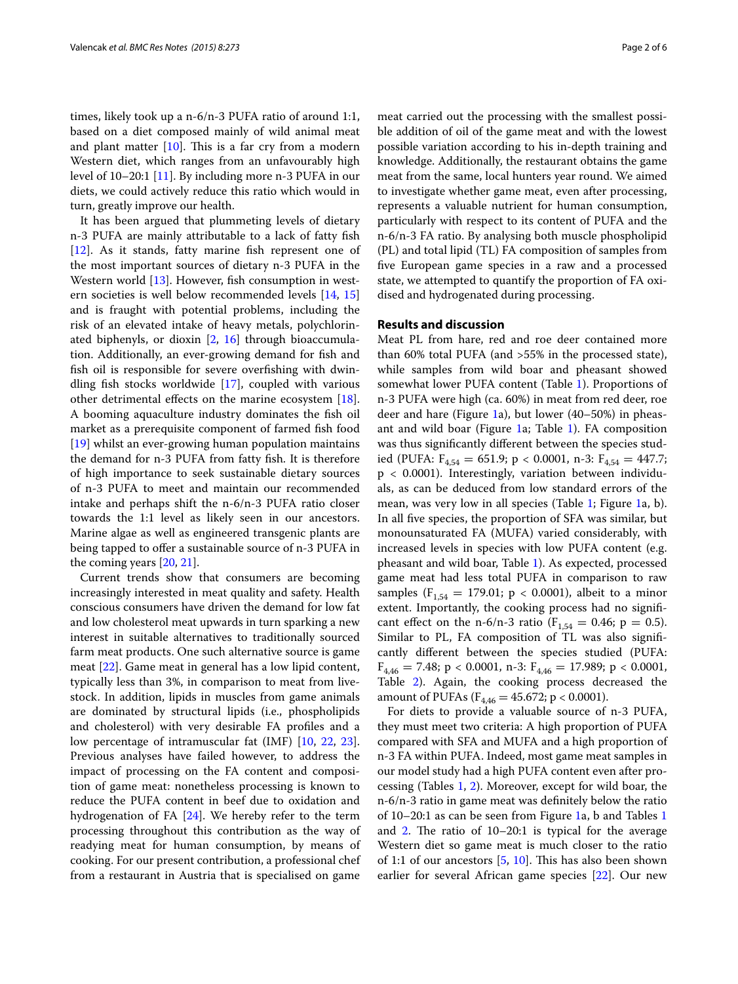times, likely took up a n-6/n-3 PUFA ratio of around 1:1, based on a diet composed mainly of wild animal meat and plant matter  $[10]$  $[10]$ . This is a far cry from a modern Western diet, which ranges from an unfavourably high level of 10–20:1 [[11\]](#page-5-8). By including more n-3 PUFA in our diets, we could actively reduce this ratio which would in turn, greatly improve our health.

It has been argued that plummeting levels of dietary n-3 PUFA are mainly attributable to a lack of fatty fish [[12\]](#page-5-9). As it stands, fatty marine fish represent one of the most important sources of dietary n-3 PUFA in the Western world [[13\]](#page-5-10). However, fish consumption in western societies is well below recommended levels [\[14,](#page-5-11) [15](#page-5-12)] and is fraught with potential problems, including the risk of an elevated intake of heavy metals, polychlorinated biphenyls, or dioxin [[2,](#page-5-13) [16\]](#page-5-14) through bioaccumulation. Additionally, an ever-growing demand for fish and fish oil is responsible for severe overfishing with dwindling fish stocks worldwide [\[17](#page-5-15)], coupled with various other detrimental effects on the marine ecosystem [\[18](#page-5-16)]. A booming aquaculture industry dominates the fish oil market as a prerequisite component of farmed fish food [[19\]](#page-5-17) whilst an ever-growing human population maintains the demand for n-3 PUFA from fatty fish. It is therefore of high importance to seek sustainable dietary sources of n-3 PUFA to meet and maintain our recommended intake and perhaps shift the n-6/n-3 PUFA ratio closer towards the 1:1 level as likely seen in our ancestors. Marine algae as well as engineered transgenic plants are being tapped to offer a sustainable source of n-3 PUFA in the coming years [\[20](#page-5-18), [21\]](#page-5-19).

Current trends show that consumers are becoming increasingly interested in meat quality and safety. Health conscious consumers have driven the demand for low fat and low cholesterol meat upwards in turn sparking a new interest in suitable alternatives to traditionally sourced farm meat products. One such alternative source is game meat [\[22\]](#page-5-20). Game meat in general has a low lipid content, typically less than 3%, in comparison to meat from livestock. In addition, lipids in muscles from game animals are dominated by structural lipids (i.e., phospholipids and cholesterol) with very desirable FA profiles and a low percentage of intramuscular fat (IMF) [\[10](#page-5-7), [22](#page-5-20), [23](#page-5-21)]. Previous analyses have failed however, to address the impact of processing on the FA content and composition of game meat: nonetheless processing is known to reduce the PUFA content in beef due to oxidation and hydrogenation of FA [[24](#page-5-22)]. We hereby refer to the term processing throughout this contribution as the way of readying meat for human consumption, by means of cooking. For our present contribution, a professional chef from a restaurant in Austria that is specialised on game

meat carried out the processing with the smallest possible addition of oil of the game meat and with the lowest possible variation according to his in-depth training and knowledge. Additionally, the restaurant obtains the game meat from the same, local hunters year round. We aimed to investigate whether game meat, even after processing, represents a valuable nutrient for human consumption, particularly with respect to its content of PUFA and the n-6/n-3 FA ratio. By analysing both muscle phospholipid (PL) and total lipid (TL) FA composition of samples from five European game species in a raw and a processed state, we attempted to quantify the proportion of FA oxidised and hydrogenated during processing.

## **Results and discussion**

Meat PL from hare, red and roe deer contained more than 60% total PUFA (and >55% in the processed state), while samples from wild boar and pheasant showed somewhat lower PUFA content (Table [1](#page-2-0)). Proportions of n-3 PUFA were high (ca. 60%) in meat from red deer, roe deer and hare (Figure [1](#page-3-0)a), but lower (40–50%) in pheas-ant and wild boar (Figure [1a](#page-3-0); Table [1\)](#page-2-0). FA composition was thus significantly different between the species studied (PUFA:  $F_{4,54} = 651.9$ ; p < 0.0001, n-3:  $F_{4,54} = 447.7$ ; p < 0.0001). Interestingly, variation between individuals, as can be deduced from low standard errors of the mean, was very low in all species (Table [1;](#page-2-0) Figure [1](#page-3-0)a, b). In all five species, the proportion of SFA was similar, but monounsaturated FA (MUFA) varied considerably, with increased levels in species with low PUFA content (e.g. pheasant and wild boar, Table [1\)](#page-2-0). As expected, processed game meat had less total PUFA in comparison to raw samples ( $F_{1,54} = 179.01$ ; p < 0.0001), albeit to a minor extent. Importantly, the cooking process had no significant effect on the n-6/n-3 ratio ( $F_{1,54} = 0.46$ ; p = 0.5). Similar to PL, FA composition of TL was also significantly different between the species studied (PUFA:  $F_{4,46} = 7.48$ ; p < 0.0001, n-3:  $F_{4,46} = 17.989$ ; p < 0.0001, Table [2](#page-4-0)). Again, the cooking process decreased the amount of PUFAs ( $F_{4,46} = 45.672$ ; p < 0.0001).

For diets to provide a valuable source of n-3 PUFA, they must meet two criteria: A high proportion of PUFA compared with SFA and MUFA and a high proportion of n-3 FA within PUFA. Indeed, most game meat samples in our model study had a high PUFA content even after processing (Tables [1](#page-2-0), [2](#page-4-0)). Moreover, except for wild boar, the n-6/n-3 ratio in game meat was definitely below the ratio of 10–20:1 as can be seen from Figure [1](#page-3-0)a, b and Tables [1](#page-2-0) and [2.](#page-4-0) The ratio of 10–20:1 is typical for the average Western diet so game meat is much closer to the ratio of 1:1 of our ancestors [\[5,](#page-5-3) [10](#page-5-7)]. This has also been shown earlier for several African game species [\[22\]](#page-5-20). Our new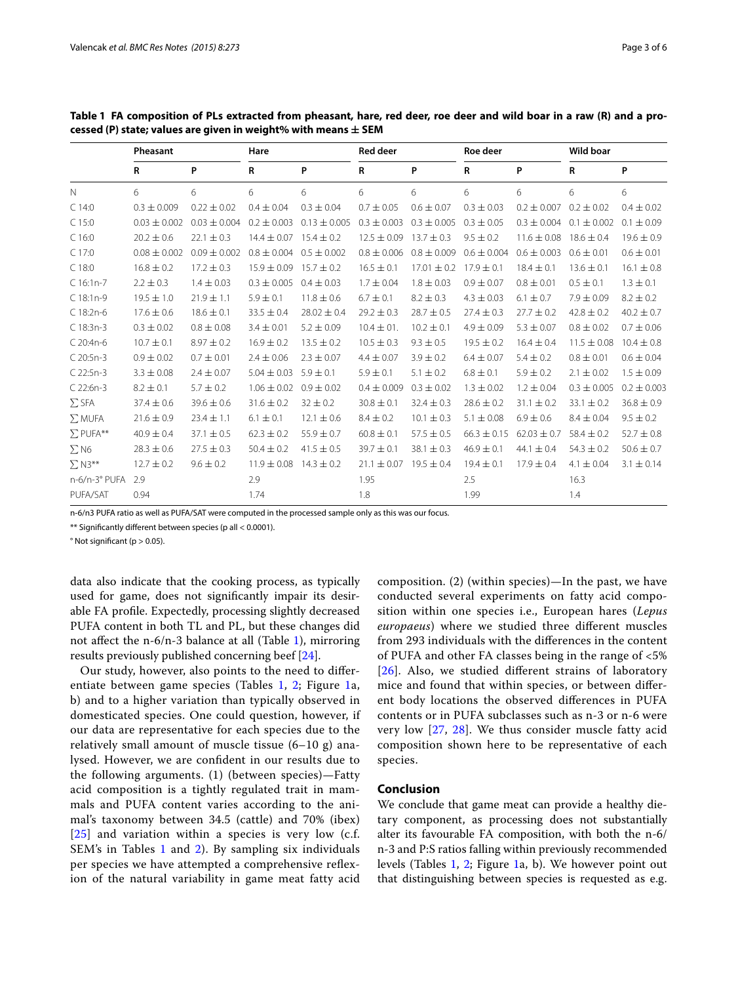|                 | Pheasant         |                  | Hare            |                  | <b>Red deer</b> |                 | Roe deer        |                 | <b>Wild boar</b> |                 |
|-----------------|------------------|------------------|-----------------|------------------|-----------------|-----------------|-----------------|-----------------|------------------|-----------------|
|                 | R                | P                | $\mathsf{R}$    | P                | $\mathsf{R}$    | P               | R               | P               | R                | P               |
| $\mathbb N$     | 6                | 6                | 6               | 6                | 6               | 6               | 6               | 6               | 6                | 6               |
| $C$ 14:0        | $0.3 \pm 0.009$  | $0.22 \pm 0.02$  | $0.4 \pm 0.04$  | $0.3 \pm 0.04$   | $0.7 \pm 0.05$  | $0.6 \pm 0.07$  | $0.3 \pm 0.03$  | $0.2 \pm 0.007$ | $0.2 \pm 0.02$   | $0.4 \pm 0.02$  |
| $C$ 15:0        | $0.03 \pm 0.002$ | $0.03 \pm 0.004$ | $0.2 \pm 0.003$ | $0.13 \pm 0.005$ | $0.3 \pm 0.003$ | $0.3 \pm 0.005$ | $0.3 \pm 0.05$  | $0.3 \pm 0.004$ | $0.1 \pm 0.002$  | $0.1 \pm 0.09$  |
| $C$ 16:0        | $20.2 \pm 0.6$   | $22.1 \pm 0.3$   | $14.4 \pm 0.07$ | $15.4 \pm 0.2$   | $12.5 \pm 0.09$ | $13.7 \pm 0.3$  | $9.5 \pm 0.2$   | $11.6 \pm 0.08$ | $18.6 \pm 0.4$   | $19.6 \pm 0.9$  |
| C 17:0          | $0.08 \pm 0.002$ | $0.09 \pm 0.002$ | $0.8 \pm 0.004$ | $0.5 \pm 0.002$  | $0.8 \pm 0.006$ | $0.8 \pm 0.009$ | $0.6 \pm 0.004$ | $0.6 \pm 0.003$ | $0.6 \pm 0.01$   | $0.6 \pm 0.01$  |
| $C$ 18:0        | $16.8 \pm 0.2$   | $17.2 \pm 0.3$   | $15.9 \pm 0.09$ | $15.7 \pm 0.2$   | $16.5 \pm 0.1$  | $17.01 \pm 0.2$ | $17.9 \pm 0.1$  | $18.4 \pm 0.1$  | $13.6 \pm 0.1$   | $16.1 \pm 0.8$  |
| $C$ 16:1n-7     | $2.2 \pm 0.3$    | $1.4 \pm 0.03$   | $0.3 \pm 0.005$ | $0.4 \pm 0.03$   | $1.7 \pm 0.04$  | $1.8 \pm 0.03$  | $0.9 \pm 0.07$  | $0.8 \pm 0.01$  | $0.5 \pm 0.1$    | $1.3 \pm 0.1$   |
| $C$ 18:1n-9     | $19.5 \pm 1.0$   | $21.9 \pm 1.1$   | $5.9 \pm 0.1$   | $11.8 \pm 0.6$   | $6.7 \pm 0.1$   | $8.2 \pm 0.3$   | $4.3 \pm 0.03$  | $6.1 \pm 0.7$   | $7.9 \pm 0.09$   | $8.2 \pm 0.2$   |
| C 18:2n-6       | $17.6 \pm 0.6$   | $18.6 \pm 0.1$   | $33.5 \pm 0.4$  | $28.02 \pm 0.4$  | $29.2 \pm 0.3$  | $28.7 \pm 0.5$  | $27.4 \pm 0.3$  | $27.7 \pm 0.2$  | $42.8 \pm 0.2$   | $40.2 \pm 0.7$  |
| $C$ 18:3n-3     | $0.3 \pm 0.02$   | $0.8 \pm 0.08$   | $3.4 \pm 0.01$  | $5.2 \pm 0.09$   | $10.4 \pm 01.$  | $10.2 \pm 0.1$  | $4.9 \pm 0.09$  | $5.3 \pm 0.07$  | $0.8 \pm 0.02$   | $0.7 \pm 0.06$  |
| C 20:4n-6       | $10.7 \pm 0.1$   | $8.97 \pm 0.2$   | $16.9 \pm 0.2$  | $13.5 \pm 0.2$   | $10.5 \pm 0.3$  | $9.3 \pm 0.5$   | $19.5 \pm 0.2$  | $16.4 \pm 0.4$  | $11.5 \pm 0.08$  | $10.4 \pm 0.8$  |
| C 20:5n-3       | $0.9 \pm 0.02$   | $0.7 \pm 0.01$   | $2.4 \pm 0.06$  | $2.3 \pm 0.07$   | $4.4 \pm 0.07$  | $3.9 \pm 0.2$   | $6.4 \pm 0.07$  | $5.4 \pm 0.2$   | $0.8 \pm 0.01$   | $0.6 \pm 0.04$  |
| $C$ 22:5n-3     | $3.3 \pm 0.08$   | $2.4 \pm 0.07$   | $5.04 \pm 0.03$ | $5.9 \pm 0.1$    | $5.9 \pm 0.1$   | $5.1 \pm 0.2$   | $6.8 \pm 0.1$   | $5.9 \pm 0.2$   | $2.1 \pm 0.02$   | $1.5 \pm 0.09$  |
| $C$ 22:6n-3     | $8.2 \pm 0.1$    | $5.7 \pm 0.2$    | $1.06 \pm 0.02$ | $0.9 \pm 0.02$   | $0.4 \pm 0.009$ | $0.3 \pm 0.02$  | $1.3 \pm 0.02$  | $1.2 \pm 0.04$  | $0.3 \pm 0.005$  | $0.2 \pm 0.003$ |
| $\Sigma$ SFA    | $37.4 \pm 0.6$   | $39.6 \pm 0.6$   | $31.6 \pm 0.2$  | $32 \pm 0.2$     | $30.8 \pm 0.1$  | $32.4 \pm 0.3$  | $28.6 \pm 0.2$  | $31.1 \pm 0.2$  | $33.1 \pm 0.2$   | $36.8 \pm 0.9$  |
| $\Sigma$ MUFA   | $21.6 \pm 0.9$   | $23.4 \pm 1.1$   | $6.1 \pm 0.1$   | $12.1 \pm 0.6$   | $8.4 \pm 0.2$   | $10.1 \pm 0.3$  | $5.1 \pm 0.08$  | $6.9 \pm 0.6$   | $8.4 \pm 0.04$   | $9.5 \pm 0.2$   |
| $\Sigma$ PUFA** | $40.9 \pm 0.4$   | $37.1 \pm 0.5$   | $62.3 \pm 0.2$  | $55.9 \pm 0.7$   | $60.8 \pm 0.1$  | $57.5 \pm 0.5$  | $66.3 \pm 0.15$ | $62.03 \pm 0.7$ | $58.4 \pm 0.2$   | $52.7 \pm 0.8$  |
| $\Sigma$ N6     | $28.3 \pm 0.6$   | $27.5 \pm 0.3$   | $50.4 \pm 0.2$  | $41.5 \pm 0.5$   | $39.7 \pm 0.1$  | $38.1 \pm 0.3$  | $46.9 \pm 0.1$  | 44.1 $\pm$ 0.4  | $54.3 \pm 0.2$   | $50.6 \pm 0.7$  |
| $\Sigma$ N3**   | $12.7 \pm 0.2$   | $9.6 \pm 0.2$    | $11.9 \pm 0.08$ | $14.3 \pm 0.2$   | $21.1 \pm 0.07$ | $19.5 \pm 0.4$  | $19.4 \pm 0.1$  | $17.9 \pm 0.4$  | $4.1 \pm 0.04$   | $3.1 \pm 0.14$  |
| n-6/n-3° PUFA   | 2.9              |                  | 2.9             |                  | 1.95            |                 | 2.5             |                 | 16.3             |                 |
| PUFA/SAT        | 0.94             |                  | 1.74            |                  | 1.8             |                 | 1.99            |                 | 1.4              |                 |

<span id="page-2-0"></span>**Table 1 FA composition of PLs extracted from pheasant, hare, red deer, roe deer and wild boar in a raw (R) and a processed (P) state; values are given in weight% with means ± SEM**

n-6/n3 PUFA ratio as well as PUFA/SAT were computed in the processed sample only as this was our focus.

\*\* Significantly different between species (p all < 0.0001).

 $\degree$  Not significant (p  $> 0.05$ ).

data also indicate that the cooking process, as typically used for game, does not significantly impair its desirable FA profile. Expectedly, processing slightly decreased PUFA content in both TL and PL, but these changes did not affect the n-6/n-3 balance at all (Table [1\)](#page-2-0), mirroring results previously published concerning beef [[24\]](#page-5-22).

Our study, however, also points to the need to differentiate between game species (Tables [1,](#page-2-0) [2](#page-4-0); Figure [1](#page-3-0)a, b) and to a higher variation than typically observed in domesticated species. One could question, however, if our data are representative for each species due to the relatively small amount of muscle tissue (6–10 g) analysed. However, we are confident in our results due to the following arguments. (1) (between species)—Fatty acid composition is a tightly regulated trait in mammals and PUFA content varies according to the animal's taxonomy between 34.5 (cattle) and 70% (ibex) [[25](#page-5-23)] and variation within a species is very low (c.f. SEM's in Tables [1](#page-2-0) and [2\)](#page-4-0). By sampling six individuals per species we have attempted a comprehensive reflexion of the natural variability in game meat fatty acid composition. (2) (within species)—In the past, we have conducted several experiments on fatty acid composition within one species i.e., European hares (*Lepus europaeus*) where we studied three different muscles from 293 individuals with the differences in the content of PUFA and other FA classes being in the range of <5% [[26](#page-5-24)]. Also, we studied different strains of laboratory mice and found that within species, or between different body locations the observed differences in PUFA contents or in PUFA subclasses such as n-3 or n-6 were very low [[27](#page-5-25), [28](#page-5-26)]. We thus consider muscle fatty acid composition shown here to be representative of each species.

### **Conclusion**

We conclude that game meat can provide a healthy dietary component, as processing does not substantially alter its favourable FA composition, with both the n-6/ n-3 and P:S ratios falling within previously recommended levels (Tables [1,](#page-2-0) [2](#page-4-0); Figure [1](#page-3-0)a, b). We however point out that distinguishing between species is requested as e.g.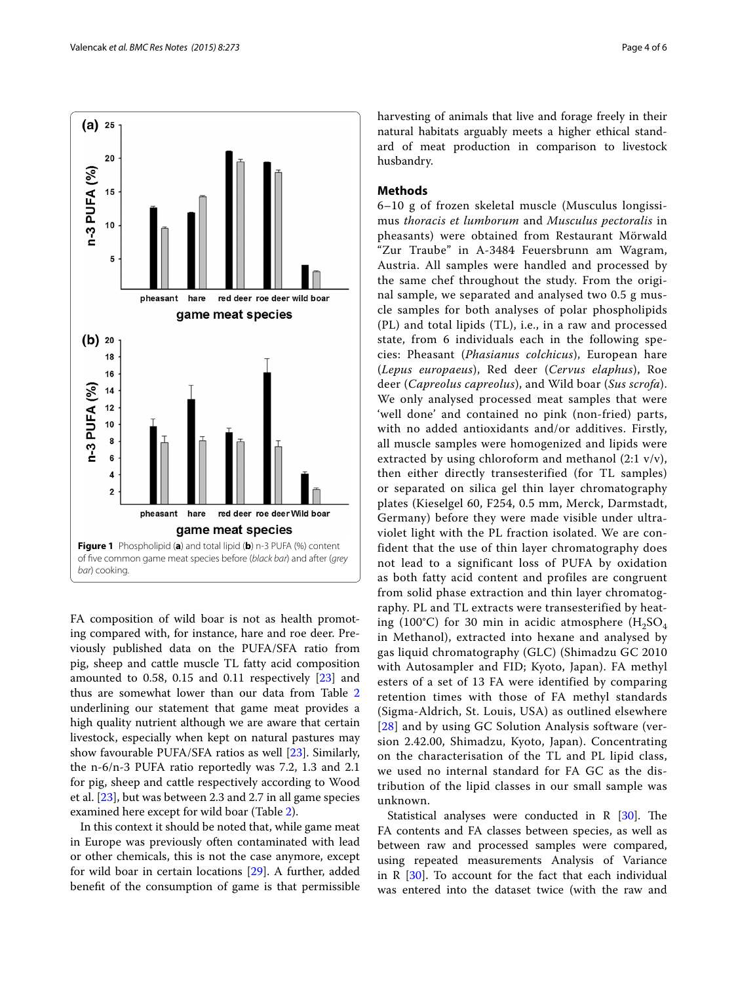

<span id="page-3-0"></span>FA composition of wild boar is not as health promoting compared with, for instance, hare and roe deer. Previously published data on the PUFA/SFA ratio from pig, sheep and cattle muscle TL fatty acid composition amounted to 0.58, 0.15 and 0.11 respectively [[23\]](#page-5-21) and thus are somewhat lower than our data from Table [2](#page-4-0) underlining our statement that game meat provides a high quality nutrient although we are aware that certain livestock, especially when kept on natural pastures may show favourable PUFA/SFA ratios as well [\[23](#page-5-21)]. Similarly, the n-6/n-3 PUFA ratio reportedly was 7.2, 1.3 and 2.1 for pig, sheep and cattle respectively according to Wood et al. [\[23](#page-5-21)], but was between 2.3 and 2.7 in all game species examined here except for wild boar (Table [2](#page-4-0)).

In this context it should be noted that, while game meat in Europe was previously often contaminated with lead or other chemicals, this is not the case anymore, except for wild boar in certain locations [\[29](#page-5-27)]. A further, added benefit of the consumption of game is that permissible harvesting of animals that live and forage freely in their natural habitats arguably meets a higher ethical standard of meat production in comparison to livestock husbandry.

## **Methods**

6–10 g of frozen skeletal muscle (Musculus longissimus *thoracis et lumborum* and *Musculus pectoralis* in pheasants) were obtained from Restaurant Mörwald "Zur Traube" in A-3484 Feuersbrunn am Wagram, Austria. All samples were handled and processed by the same chef throughout the study. From the original sample, we separated and analysed two 0.5 g muscle samples for both analyses of polar phospholipids (PL) and total lipids (TL), i.e., in a raw and processed state, from 6 individuals each in the following species: Pheasant (*Phasianus colchicus*), European hare (*Lepus europaeus*), Red deer (*Cervus elaphus*), Roe deer (*Capreolus capreolus*), and Wild boar (*Sus scrofa*). We only analysed processed meat samples that were 'well done' and contained no pink (non-fried) parts, with no added antioxidants and/or additives. Firstly, all muscle samples were homogenized and lipids were extracted by using chloroform and methanol (2:1 v/v), then either directly transesterified (for TL samples) or separated on silica gel thin layer chromatography plates (Kieselgel 60, F254, 0.5 mm, Merck, Darmstadt, Germany) before they were made visible under ultraviolet light with the PL fraction isolated. We are confident that the use of thin layer chromatography does not lead to a significant loss of PUFA by oxidation as both fatty acid content and profiles are congruent from solid phase extraction and thin layer chromatography. PL and TL extracts were transesterified by heating (100°C) for 30 min in acidic atmosphere  $(H_2SO_4)$ in Methanol), extracted into hexane and analysed by gas liquid chromatography (GLC) (Shimadzu GC 2010 with Autosampler and FID; Kyoto, Japan). FA methyl esters of a set of 13 FA were identified by comparing retention times with those of FA methyl standards (Sigma-Aldrich, St. Louis, USA) as outlined elsewhere [[28](#page-5-26)] and by using GC Solution Analysis software (version 2.42.00, Shimadzu, Kyoto, Japan). Concentrating on the characterisation of the TL and PL lipid class, we used no internal standard for FA GC as the distribution of the lipid classes in our small sample was unknown.

Statistical analyses were conducted in  $R$  [[30\]](#page-5-28). The FA contents and FA classes between species, as well as between raw and processed samples were compared, using repeated measurements Analysis of Variance in R [[30](#page-5-28)]. To account for the fact that each individual was entered into the dataset twice (with the raw and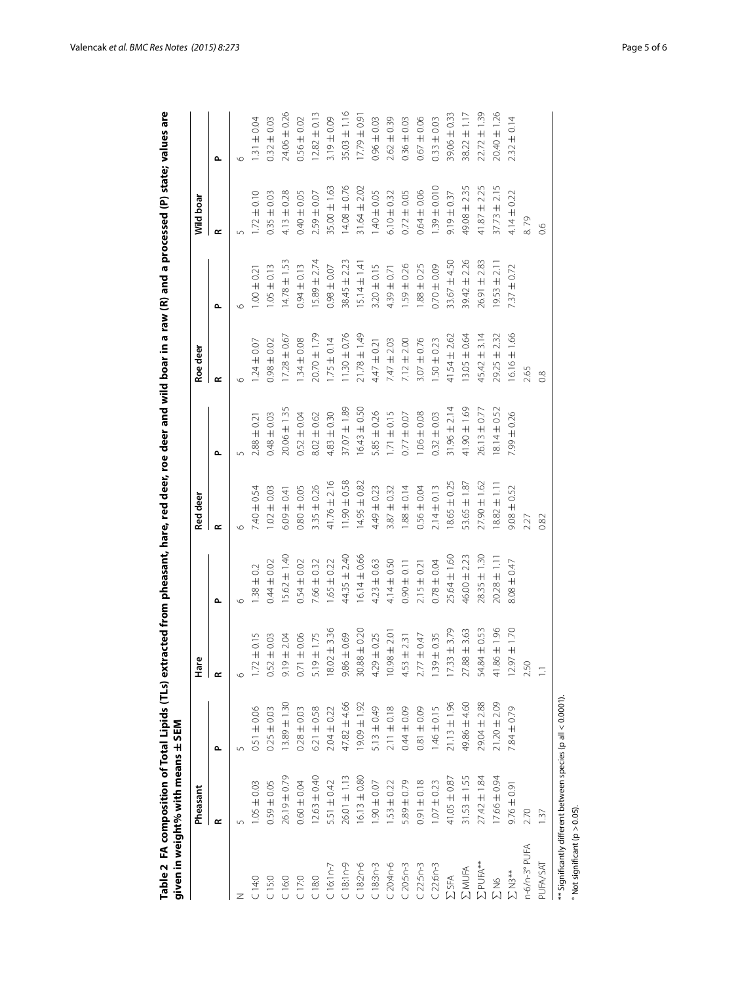<span id="page-4-0"></span>

|                       | Pheasant         |                  | Hare                           |                  | Red deer         |                  | Roe deer         |                  | Wild boar        |                  |
|-----------------------|------------------|------------------|--------------------------------|------------------|------------------|------------------|------------------|------------------|------------------|------------------|
|                       | œ                | م                | $\sim$                         | ے                | $\sim$           | $\sim$           | $\sim$           | م                | œ                | م                |
|                       | 5                | $\sqrt{ }$       |                                | G                | $\circ$          |                  |                  | $\circ$          | 5                | $\circ$          |
| 14:0                  | $1.05 \pm 0.03$  | $0.51 \pm 0.06$  | $1.72 \pm 0.15$                | $1.38 \pm 0.2$   | $7.40 \pm 0.54$  | $2.88 \pm 0.21$  | $1.24 \pm 0.07$  | 0.21             | $1.72 \pm 0.10$  | $1.31 \pm 0.04$  |
| 15:0                  | $0.59 \pm 0.05$  | $0.25 \pm 0.03$  | $0.52 \pm 0.03$                | $0.44 \pm 0.02$  | $1.02 \pm 0.03$  | $0.48 \pm 0.03$  | $0.98 \pm 0.02$  | $.05 \pm 0.13$   | $0.35 \pm 0.03$  | $0.32 \pm 0.03$  |
| 16:0                  | $26.19 \pm 0.79$ | $13.89 \pm 1.30$ | 9 ± 2.04<br>$\overline{5}$     | $15.62 \pm 1.40$ | $6.09 \pm 0.41$  | $20.06 \pm 1.35$ | $17.28 \pm 0.67$ | $14.78 \pm 1.53$ | $4.13 \pm 0.28$  | 24.06 ± 0.26     |
| 17:0                  | $0.60 \pm 0.04$  | $0.28 \pm 0.03$  | $0.71 \pm 0.06$                | $0.54 \pm 0.02$  | $0.80 \pm 0.05$  | $0.52 \pm 0.04$  | $1.34 \pm 0.08$  | $0.94 \pm 0.13$  | $0.40 \pm 0.05$  | $0.56 \pm 0.02$  |
| 18:0                  | $12.63 \pm 0.40$ | $6.21 \pm 0.58$  | $9 \pm 1.75$<br>$\overline{5}$ | $7.66 \pm 0.32$  | $3.35 \pm 0.26$  | $8.02 \pm 0.62$  | $20.70 \pm 1.79$ | $15.89 \pm 2.74$ | $2.59 \pm 0.07$  | $12.82 \pm 0.13$ |
| $16:1n-7$             | 5.51 ± 0.42      | $2.04 \pm 0.22$  | $18.02 + 3.36$                 | $1.65 \pm 0.22$  | $41.76 \pm 2.16$ | $4.83 \pm 0.30$  | $1.75 \pm 0.14$  | $0.98 \pm 0.07$  | $35.00 \pm 1.63$ | $3.19 \pm 0.09$  |
| $18:1n-9$             | $26.01 \pm 1.13$ | 47.82 ± 4.66     | $9.86 \pm 0.69$                | $44.35 \pm 2.40$ | $11.90 \pm 0.58$ | $37.07 \pm 1.89$ | $11.30 \pm 0.76$ | $38.45 \pm 2.23$ | $14.08 \pm 0.76$ | $35.03 \pm 1.16$ |
| $18:2n-6$             | $6.13 \pm 0.80$  | $19.09 \pm 1.92$ | $30.88 \pm 0.20$               | $16.14 \pm 0.66$ | $14.95 \pm 0.82$ | $16.43 \pm 0.50$ | $21.78 \pm 1.49$ | $15.14 \pm 1.41$ | $31.64 \pm 2.02$ | $17.79 \pm 0.9$  |
| $C18:3n-3$            | $1.90 \pm 0.07$  | $5.13 \pm 0.49$  | $4.29 \pm 0.25$                | $4.23 \pm 0.63$  | $4.49 \pm 0.23$  | $5.85 \pm 0.26$  | $4.47 \pm 0.21$  | $3.20 \pm 0.15$  | $1.40 \pm 0.05$  | $0.96 \pm 0.03$  |
| $20:4n-6$             | $1.53 \pm 0.22$  | $2.11 \pm 0.18$  | $10.98 \pm 2.0$                | $4.14 \pm 0.50$  | $3.87 \pm 0.32$  | $1.71 \pm 0.15$  | $7.47 \pm 2.03$  | $4.39 \pm 0.71$  | $6.10 \pm 0.32$  | $2.62 \pm 0.39$  |
| $20:5n-3$             | $5.89 \pm 0.79$  | $0.044 \pm 0.09$ | $4.53 \pm 2.31$                | $0.90 \pm 0.11$  | $1.88 \pm 0.14$  | $0.77 \pm 0.07$  | $7.12 \pm 2.00$  | $1.59 \pm 0.26$  | $0.72 \pm 0.05$  | $0.36 \pm 0.03$  |
| $22:5n-3$             | $0.91 \pm 0.18$  | $0.81 + 0.09$    | $2.77 \pm 0.47$                | $2.15 \pm 0.21$  | $0.56 \pm 0.04$  | $1.06 \pm 0.08$  | $3.07 \pm 0.76$  | $1.88 \pm 0.25$  | $0.64 \pm 0.06$  | $0.67 \pm 0.06$  |
| $C22:6n-3$            | $1.07 \pm 0.23$  | $1.46 \pm 0.15$  | $1.39 \pm 0.35$                | $0.78 \pm 0.04$  | $2.14 \pm 0.13$  | $0.32 \pm 0.03$  | $1.50 \pm 0.23$  | $0.70 \pm 0.09$  | $1.39 \pm 0.010$ | $0.33 \pm 0.03$  |
| <b>ESFA</b>           | $41.05 \pm 0.87$ | $21.13 \pm 1.96$ | $17.33 \pm 3.79$               | 25.64 ± 1.60     | $18.65 \pm 0.25$ | $31.96 \pm 2.14$ | $41.54 \pm 2.62$ | $33.67 + 4.50$   | $9.19 \pm 0.37$  | $39.06 \pm 0.33$ |
| <b>ZMUFA</b>          | $31.53 \pm 1.55$ | 49.86 ± 4.60     | $27.88 \pm 3.63$               | $46.00 \pm 2.23$ | $53.65 \pm 1.87$ | $41.90 \pm 1.69$ | $13.05 \pm 0.64$ | $39.42 \pm 2.26$ | 49.08 ± 2.35     | $38.22 \pm 1.17$ |
| $\Sigma$ PUFA $^{**}$ | $27.42 \pm 1.84$ | 29.04 ± 2.88     | 54.84 ± 0.53                   | $28.35 \pm 1.30$ | $27.90 \pm 1.62$ | $26.13 \pm 0.77$ | $45.42 \pm 3.14$ | $26.91 \pm 2.83$ | $41.87 \pm 2.25$ | $22.72 \pm 1.39$ |
| <b>SLN6</b>           | $17.66 \pm 0.94$ | $21.20 \pm 2.09$ | $41.86 \pm 1.96$               | $20.28 \pm 1.1$  | $18.82 \pm 1.11$ | $8.14 \pm 0.52$  | $29.25 \pm 2.32$ | $9.53 \pm 2.11$  | $37.73 \pm 2.15$ | $20.40 \pm 1.26$ |
| $\Sigma$ N3**         | $9.76 \pm 0.91$  | $7.84 \pm 0.79$  | $12.97 \pm 1.70$               | $8.08 \pm 0.47$  | $9.08 \pm 0.52$  | 7.99 ± 0.26      | $6.16 \pm 1.66$  | $7.37 \pm 0.72$  | $4.14 \pm 0.22$  | $2.32 \pm 0.14$  |
| n-6/n-3° PUFA         | 2.70             |                  | 2.50                           |                  | 2.27             |                  | 2.65             |                  | 8.79             |                  |
| PUFA/SAT              | $\frac{37}{2}$   |                  | Ξ                              |                  | 0.82             |                  | 0.8              |                  | 0.6              |                  |